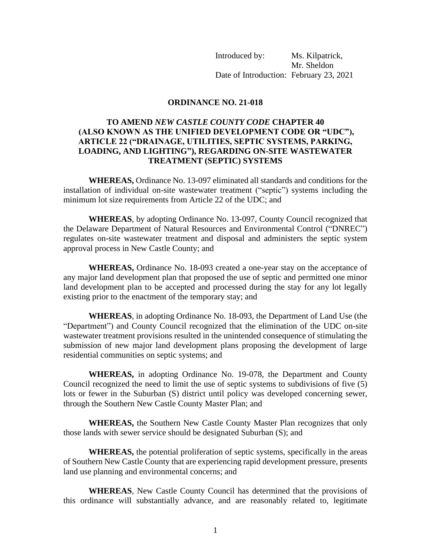Introduced by: Ms. Kilpatrick, Mr. Sheldon Date of Introduction: February 23, 2021

## **ORDINANCE NO. 21-018**

## **TO AMEND** *NEW CASTLE COUNTY CODE* **CHAPTER 40 (ALSO KNOWN AS THE UNIFIED DEVELOPMENT CODE OR "UDC"), ARTICLE 22 ("DRAINAGE, UTILITIES, SEPTIC SYSTEMS, PARKING, LOADING, AND LIGHTING"), REGARDING ON-SITE WASTEWATER TREATMENT (SEPTIC) SYSTEMS**

**WHEREAS,** Ordinance No. 13-097 eliminated all standards and conditions for the installation of individual on-site wastewater treatment ("septic") systems including the minimum lot size requirements from Article 22 of the UDC; and

**WHEREAS**, by adopting Ordinance No. 13-097, County Council recognized that the Delaware Department of Natural Resources and Environmental Control ("DNREC") regulates on-site wastewater treatment and disposal and administers the septic system approval process in New Castle County; and

**WHEREAS,** Ordinance No. 18-093 created a one-year stay on the acceptance of any major land development plan that proposed the use of septic and permitted one minor land development plan to be accepted and processed during the stay for any lot legally existing prior to the enactment of the temporary stay; and

**WHEREAS**, in adopting Ordinance No. 18-093, the Department of Land Use (the "Department") and County Council recognized that the elimination of the UDC on-site wastewater treatment provisions resulted in the unintended consequence of stimulating the submission of new major land development plans proposing the development of large residential communities on septic systems; and

**WHEREAS,** in adopting Ordinance No. 19-078, the Department and County Council recognized the need to limit the use of septic systems to subdivisions of five (5) lots or fewer in the Suburban (S) district until policy was developed concerning sewer, through the Southern New Castle County Master Plan; and

**WHEREAS,** the Southern New Castle County Master Plan recognizes that only those lands with sewer service should be designated Suburban (S); and

**WHEREAS,** the potential proliferation of septic systems, specifically in the areas of Southern New Castle County that are experiencing rapid development pressure, presents land use planning and environmental concerns; and

**WHEREAS**, New Castle County Council has determined that the provisions of this ordinance will substantially advance, and are reasonably related to, legitimate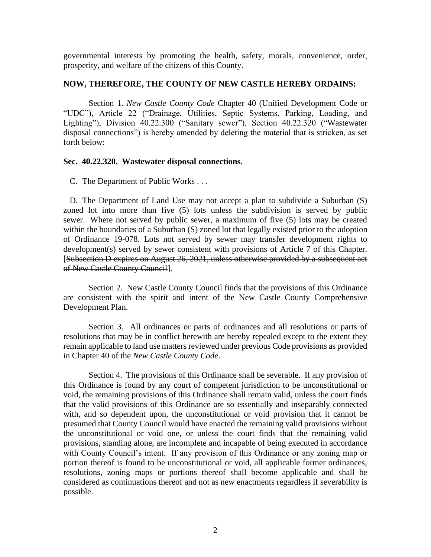governmental interests by promoting the health, safety, morals, convenience, order, prosperity, and welfare of the citizens of this County.

## **NOW, THEREFORE, THE COUNTY OF NEW CASTLE HEREBY ORDAINS:**

Section 1. *New Castle County Code* Chapter 40 (Unified Development Code or "UDC"), Article 22 ("Drainage, Utilities, Septic Systems, Parking, Loading, and Lighting"), Division 40.22.300 ("Sanitary sewer"), Section 40.22.320 ("Wastewater disposal connections") is hereby amended by deleting the material that is stricken, as set forth below:

## **Sec. 40.22.320. Wastewater disposal connections.**

C. The Department of Public Works . . .

D. The Department of Land Use may not accept a plan to subdivide a Suburban (S) zoned lot into more than five (5) lots unless the subdivision is served by public sewer. Where not served by public sewer, a maximum of five (5) lots may be created within the boundaries of a Suburban (S) zoned lot that legally existed prior to the adoption of Ordinance 19-078. Lots not served by sewer may transfer development rights to development(s) served by sewer consistent with provisions of Article 7 of this Chapter. [Subsection D expires on August 26, 2021, unless otherwise provided by a subsequent act of New Castle County Council].

Section 2. New Castle County Council finds that the provisions of this Ordinance are consistent with the spirit and intent of the New Castle County Comprehensive Development Plan.

Section 3. All ordinances or parts of ordinances and all resolutions or parts of resolutions that may be in conflict herewith are hereby repealed except to the extent they remain applicable to land use matters reviewed under previous Code provisions as provided in Chapter 40 of the *New Castle County Code*.

Section 4. The provisions of this Ordinance shall be severable. If any provision of this Ordinance is found by any court of competent jurisdiction to be unconstitutional or void, the remaining provisions of this Ordinance shall remain valid, unless the court finds that the valid provisions of this Ordinance are so essentially and inseparably connected with, and so dependent upon, the unconstitutional or void provision that it cannot be presumed that County Council would have enacted the remaining valid provisions without the unconstitutional or void one, or unless the court finds that the remaining valid provisions, standing alone, are incomplete and incapable of being executed in accordance with County Council's intent. If any provision of this Ordinance or any zoning map or portion thereof is found to be unconstitutional or void, all applicable former ordinances, resolutions, zoning maps or portions thereof shall become applicable and shall be considered as continuations thereof and not as new enactments regardless if severability is possible.